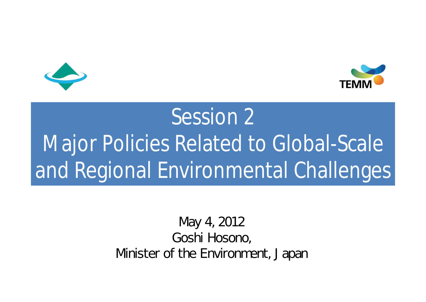



# Session 2 Major Policies Related to Global-Scale and Regional Environmental Challenges

#### May 4, 2012 Goshi Hosono, Minister of the Environment, Japan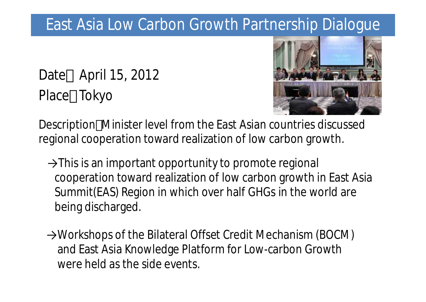### East Asia Low Carbon Growth Partnership Dialogue

Date April 15, 2012 Place Tokyo



Description Minister level from the East Asian countries discussed regional cooperation toward realization of low carbon growth.

- $\rightarrow$ This is an important opportunity to promote regional cooperation toward realization of low carbon growth in East Asia Summit(EAS) Region in which over half GHGs in the world are being discharged.
- →Workshops of the Bilateral Offset Credit Mechanism (BOCM) and East Asia Knowledge Platform for Low-carbon Growth were held as the side events.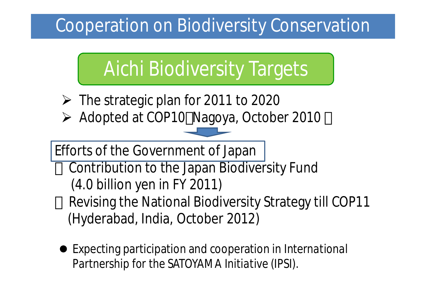### **Cooperation on Biodiversity Conservation**

## Aichi Biodiversity Targets

- $\triangleright$  The strategic plan for 2011 to 2020
- Adopted at COP10 Nagoya, October 2010

Efforts of the Government of Japan

Contribution to the Japan Biodiversity Fund (4.0 billion yen in FY 2011) Revising the National Biodiversity Strategy till COP11 (Hyderabad, India, October 2012)

Expecting participation and cooperation in *International Partnership for the SATOYAMA Initiative (IPSI).*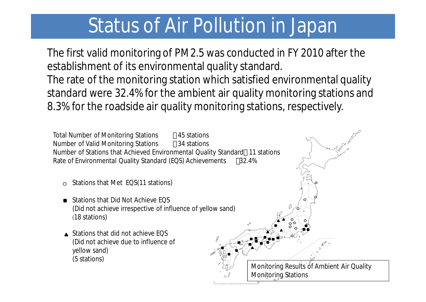The first valid monitoring of PM2.5 was conducted in FY 2010 after the establishment of its environmental quality standard. The rate of the monitoring station which satisfied environmental quality standard were 32.4% for the ambient air quality monitoring stations and 8.3% for the roadside air quality monitoring stations, respectively.

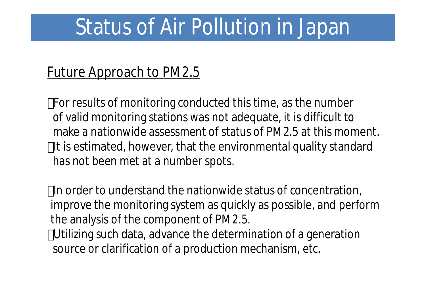#### Future Approach to PM2.5

For results of monitoring conducted this time, as the number of valid monitoring stations was not adequate, it is difficult to make a nationwide assessment of status of PM2.5 at this moment. It is estimated, however, that the environmental quality standard has not been met at a number spots.

In order to understand the nationwide status of concentration, improve the monitoring system as quickly as possible, and perform the analysis of the component of PM2.5.

Utilizing such data, advance the determination of a generation source or clarification of a production mechanism, etc.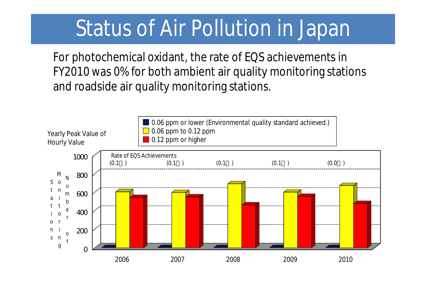For photochemical oxidant, the rate of EQS achievements in FY2010 was 0% for both ambient air quality monitoring stations and roadside air quality monitoring stations.

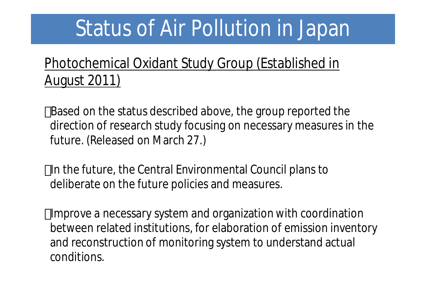#### Photochemical Oxidant Study Group (Established in August 2011)

Based on the status described above, the group reported the direction of research study focusing on necessary measures in the future. (Released on March 27.)

In the future, the Central Environmental Council plans to deliberate on the future policies and measures.

Improve a necessary system and organization with coordination between related institutions, for elaboration of emission inventory and reconstruction of monitoring system to understand actual conditions.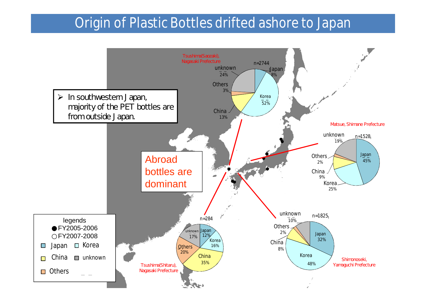#### **Origin of Plastic Bottles drifted ashore to Japan**